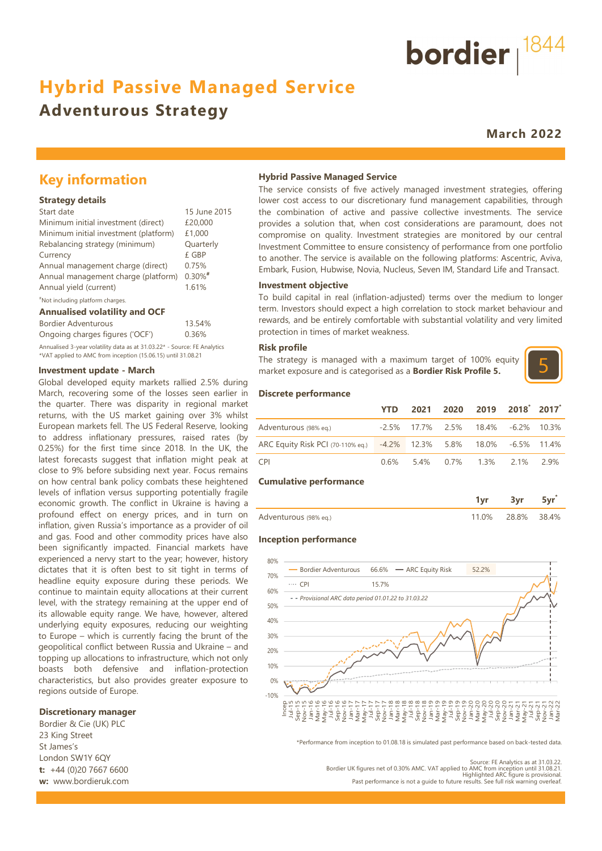# **Hybrid Passive Managed Service**

# **Adventurous Strategy**

**March 2022**

bordier  $1844$ 

## **Key information**

#### **Strategy details**

| Start date                            | 15 June 2015 |
|---------------------------------------|--------------|
| Minimum initial investment (direct)   | £20,000      |
| Minimum initial investment (platform) | £1,000       |
| Rebalancing strategy (minimum)        | Quarterly    |
| Currency                              | £ GBP        |
| Annual management charge (direct)     | 0.75%        |
| Annual management charge (platform)   | $0.30\%$ #   |
| Annual yield (current)                | 1.61%        |
|                                       |              |

#### #Not including platform charges.

#### **Annualised volatility and OCF**

| Bordier Adventurous                                                      | 13.54% |
|--------------------------------------------------------------------------|--------|
| Ongoing charges figures ('OCF')                                          | 0.36%  |
| Annualised 3-year volatility data as at 31.03.22* - Source: FE Analytics |        |
| *VAT applied to AMC from inception (15.06.15) until 31.08.21             |        |

#### **Investment update - March**

Global developed equity markets rallied 2.5% during March, recovering some of the losses seen earlier in the quarter. There was disparity in regional market returns, with the US market gaining over 3% whilst European markets fell. The US Federal Reserve, looking to address inflationary pressures, raised rates (by 0.25%) for the first time since 2018. In the UK, the latest forecasts suggest that inflation might peak at close to 9% before subsiding next year. Focus remains on how central bank policy combats these heightened levels of inflation versus supporting potentially fragile economic growth. The conflict in Ukraine is having a profound effect on energy prices, and in turn on inflation, given Russia's importance as a provider of oil and gas. Food and other commodity prices have also been significantly impacted. Financial markets have experienced a nervy start to the year; however, history dictates that it is often best to sit tight in terms of headline equity exposure during these periods. We continue to maintain equity allocations at their current level, with the strategy remaining at the upper end of its allowable equity range. We have, however, altered underlying equity exposures, reducing our weighting to Europe – which is currently facing the brunt of the geopolitical conflict between Russia and Ukraine – and topping up allocations to infrastructure, which not only boasts both defensive and inflation-protection characteristics, but also provides greater exposure to regions outside of Europe.  $-10\%$ 

#### **Discretionary manager**

Bordier & Cie (UK) PLC 23 King Street St James's London SW1Y 6QY **t:** +44 (0)20 7667 6600 **w:** www.bordieruk.com

#### **Hybrid Passive Managed Service**

The service consists of five actively managed investment strategies, offering lower cost access to our discretionary fund management capabilities, through the combination of active and passive collective investments. The service provides a solution that, when cost considerations are paramount, does not compromise on quality. Investment strategies are monitored by our central Investment Committee to ensure consistency of performance from one portfolio to another. The service is available on the following platforms: Ascentric, Aviva, Embark, Fusion, Hubwise, Novia, Nucleus, Seven IM, Standard Life and Transact.

#### **Investment objective**

To build capital in real (inflation-adjusted) terms over the medium to longer term. Investors should expect a high correlation to stock market behaviour and rewards, and be entirely comfortable with substantial volatility and very limited protection in times of market weakness.

#### **Risk profile**

The strategy is managed with a maximum target of 100% equity market exposure and is categorised as a **Bordier Risk Profile 5.**



#### **Discrete performance**

|                                                                      | VTD.    |  | 2021 2020 2019 2018 2017                 |  |
|----------------------------------------------------------------------|---------|--|------------------------------------------|--|
| Adventurous (98% eg.)                                                |         |  | $-2.5\%$ 17.7% 2.5% 18.4% $-6.2\%$ 10.3% |  |
| ARC Equity Risk PCI (70-110% eq.) -4.2% 12.3% 5.8% 18.0% -6.5% 11.4% |         |  |                                          |  |
| CPI <sup>-</sup>                                                     | $0.6\%$ |  | 5.4% 0.7% 1.3% 2.1% 2.9%                 |  |

#### **Cumulative performance**

|                       |                   | 5vr |
|-----------------------|-------------------|-----|
| Adventurous (98% eq.) | 11.0% 28.8% 38.4% |     |

#### **Inception performance**



\*Performance from inception to 01.08.18 is simulated past performance based on back-tested data.

Source: FE Analytics as at 31.03.22. Bordier UK figures net of 0.30% AMC. VAT applied to AMC from inception until 31.08.21. Highlighted ARC figure is provisional. Past performance is not a guide to future results. See full risk warning overleaf.